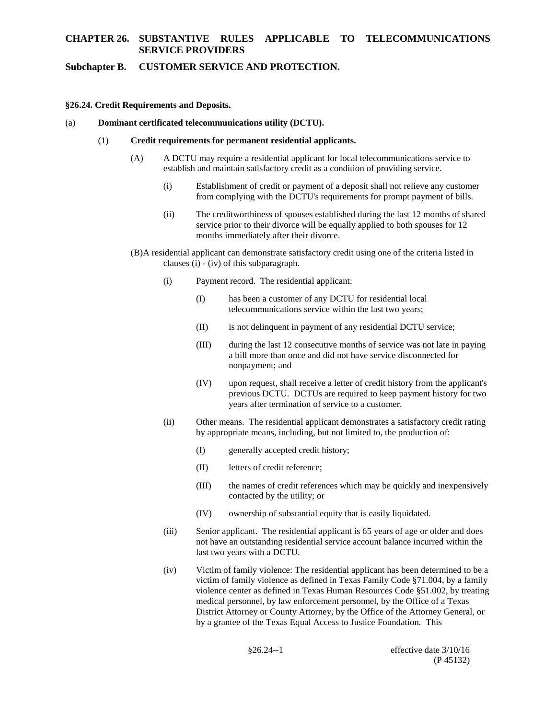### **Subchapter B. CUSTOMER SERVICE AND PROTECTION.**

### **§26.24. Credit Requirements and Deposits.**

(a) **Dominant certificated telecommunications utility (DCTU).** 

#### $(1)$ (1)**Credit requirements for permanent residential applicants.**

- establish and maintain satisfactory credit as a condition of providing service.  $(A)$ (A)A DCTU may require a residential applicant for local telecommunications service to
	- $(i)$ Establishment of credit or payment of a deposit shall not relieve any customer from complying with the DCTU's requirements for prompt payment of bills.
	- $(ii)$ The creditworthiness of spouses established during the last 12 months of shared service prior to their divorce will be equally applied to both spouses for 12 months immediately after their divorce.
- (B)A residential applicant can demonstrate satisfactory credit using one of the criteria listed in clauses (i) - (iv) of this subparagraph.
	- (i) Payment record. The residential applicant:  $(i)$ 
		- $(1)$ has been a customer of any DCTU for residential local telecommunications service within the last two years;
		- $(II)$ is not delinquent in payment of any residential DCTU service;
		- $(III)$ during the last 12 consecutive months of service was not late in paying a bill more than once and did not have service disconnected for nonpayment; and
		- previous DCTU. DCTUs are required to keep payment history for two  $(IV)$ upon request, shall receive a letter of credit history from the applicant's years after termination of service to a customer.
	- $(ii)$ Other means. The residential applicant demonstrates a satisfactory credit rating by appropriate means, including, but not limited to, the production of:
		- $(1)$ generally accepted credit history;
		- $(II)$ letters of credit reference;
		- contacted by the utility; or  $(III)$ the names of credit references which may be quickly and inexpensively
		- $(IV)$ ownership of substantial equity that is easily liquidated.
	- last two years with a DCTU.  $(iii)$ Senior applicant. The residential applicant is 65 years of age or older and does not have an outstanding residential service account balance incurred within the
	- victim of family violence as defined in Texas Family Code §71.004, by a family  $(iv)$ Victim of family violence: The residential applicant has been determined to be a violence center as defined in Texas Human Resources Code §51.002, by treating medical personnel, by law enforcement personnel, by the Office of a Texas District Attorney or County Attorney, by the Office of the Attorney General, or by a grantee of the Texas Equal Access to Justice Foundation. This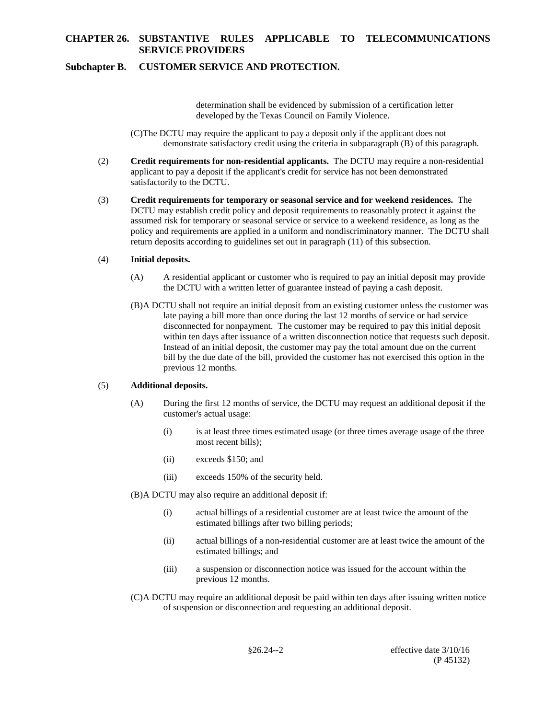## **Subchapter B. CUSTOMER SERVICE AND PROTECTION.**

determination shall be evidenced by submission of a certification letter developed by the Texas Council on Family Violence.

(C)The DCTU may require the applicant to pay a deposit only if the applicant does not demonstrate satisfactory credit using the criteria in subparagraph (B) of this paragraph.

- $(2)$ (2)**Credit requirements for non-residential applicants.** The DCTU may require a non-residential applicant to pay a deposit if the applicant's credit for service has not been demonstrated satisfactorily to the DCTU.
- (3)**Credit requirements for temporary or seasonal service and for weekend residences.** The return deposits according to guidelines set out in paragraph (11) of this subsection.  $(3)$ DCTU may establish credit policy and deposit requirements to reasonably protect it against the assumed risk for temporary or seasonal service or service to a weekend residence, as long as the policy and requirements are applied in a uniform and nondiscriminatory manner. The DCTU shall

#### $(4)$ (4)**Initial deposits.**

- $(A)$ (A)A residential applicant or customer who is required to pay an initial deposit may provide the DCTU with a written letter of guarantee instead of paying a cash deposit.
- within ten days after issuance of a written disconnection notice that requests such deposit. (B)A DCTU shall not require an initial deposit from an existing customer unless the customer was late paying a bill more than once during the last 12 months of service or had service disconnected for nonpayment. The customer may be required to pay this initial deposit Instead of an initial deposit, the customer may pay the total amount due on the current bill by the due date of the bill, provided the customer has not exercised this option in the previous 12 months.

#### $(5)$ (5)**Additional deposits.**

- $(A)$ During the first 12 months of service, the DCTU may request an additional deposit if the customer's actual usage:
	- $(i)$ is at least three times estimated usage (or three times average usage of the three most recent bills);
	- $(ii)$ exceeds \$150; and
	- $(iii)$ exceeds 150% of the security held.

(B)A DCTU may also require an additional deposit if:

- $(i)$ actual billings of a residential customer are at least twice the amount of the estimated billings after two billing periods;
- $(ii)$ actual billings of a non-residential customer are at least twice the amount of the estimated billings; and
- (iii) a suspension or disconnection notice was issued for the account within the  $(iii)$ previous 12 months.
- (C)A DCTU may require an additional deposit be paid within ten days after issuing written notice of suspension or disconnection and requesting an additional deposit.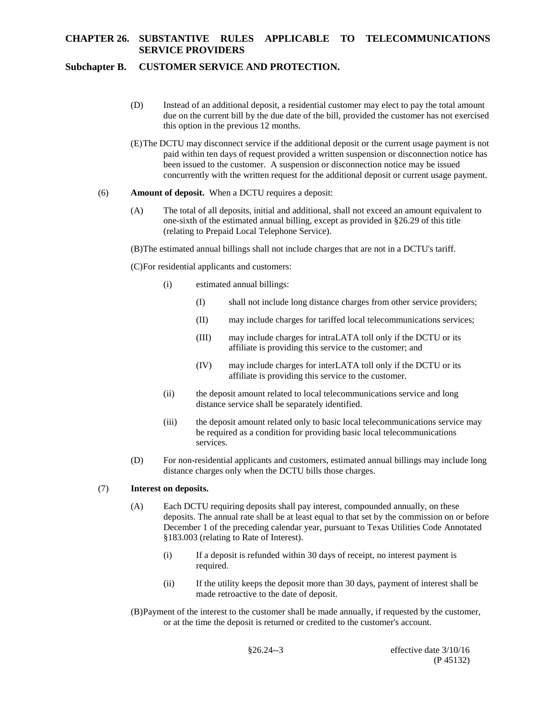## **Subchapter B. CUSTOMER SERVICE AND PROTECTION.**

- (D) Instead of an additional deposit, a residential customer may elect to pay the total amount due on the current bill by the due date of the bill, provided the customer has not exercised this option in the previous 12 months.
- paid within ten days of request provided a written suspension or disconnection notice has been issued to the customer. A suspension or disconnection notice may be issued (E)The DCTU may disconnect service if the additional deposit or the current usage payment is not concurrently with the written request for the additional deposit or current usage payment.

### (6)**Amount of deposit.** When a DCTU requires a deposit:  $(6)$

- $(A)$ The total of all deposits, initial and additional, shall not exceed an amount equivalent to one-sixth of the estimated annual billing, except as provided in §26.29 of this title (relating to Prepaid Local Telephone Service).
- (B)The estimated annual billings shall not include charges that are not in a DCTU's tariff.
- (C)For residential applicants and customers:
	- $(i)$ estimated annual billings:
		- (I) shall not include long distance charges from other service providers; (I)
		- $(II)$ may include charges for tariffed local telecommunications services;
		- $(III)$ may include charges for intraLATA toll only if the DCTU or its affiliate is providing this service to the customer; and
		- $(IV)$ may include charges for interLATA toll only if the DCTU or its affiliate is providing this service to the customer.
	- $(ii)$ the deposit amount related to local telecommunications service and long distance service shall be separately identified.
	- (iii) the deposit amount related only to basic local telecommunications service may  $(iii)$ be required as a condition for providing basic local telecommunications services.
- $(D)$ For non-residential applicants and customers, estimated annual billings may include long distance charges only when the DCTU bills those charges.

### (7) **Interest on deposits.**

- December 1 of the preceding calendar year, pursuant to Texas Utilities Code Annotated (A) Each DCTU requiring deposits shall pay interest, compounded annually, on these deposits. The annual rate shall be at least equal to that set by the commission on or before §183.003 (relating to Rate of Interest).
	- (i) If a deposit is refunded within 30 days of receipt, no interest payment is  $(i)$ required.
	- (ii) If the utility keeps the deposit more than 30 days, payment of interest shall be  $(ii)$ made retroactive to the date of deposit.
- (B)Payment of the interest to the customer shall be made annually, if requested by the customer, or at the time the deposit is returned or credited to the customer's account.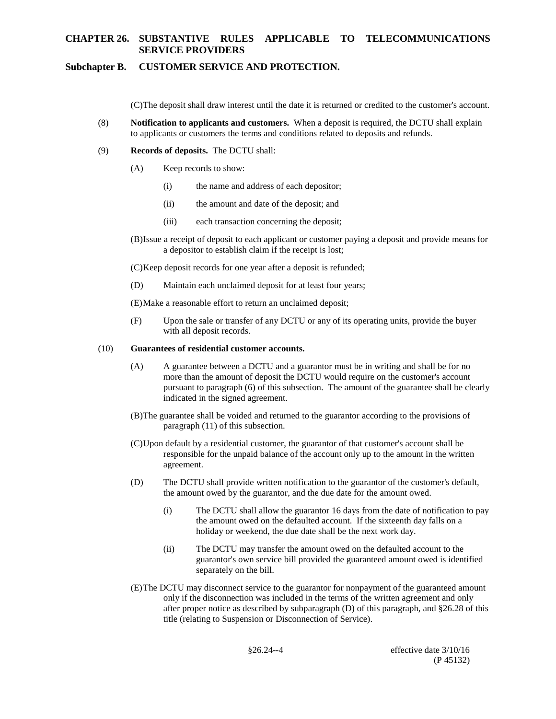## **Subchapter B. CUSTOMER SERVICE AND PROTECTION.**

(C)The deposit shall draw interest until the date it is returned or credited to the customer's account.

- (8)**Notification to applicants and customers.** When a deposit is required, the DCTU shall explain  $(8)$ to applicants or customers the terms and conditions related to deposits and refunds.
- (9)**Records of deposits.** The DCTU shall:  $(9)$ 
	- $(A)$ Keep records to show:
		- $(i)$ the name and address of each depositor;
		- $(ii)$ the amount and date of the deposit; and
		- (iii) each transaction concerning the deposit;
	- a depositor to establish claim if the receipt is lost; (B)Issue a receipt of deposit to each applicant or customer paying a deposit and provide means for

(C)Keep deposit records for one year after a deposit is refunded;

(D) Maintain each unclaimed deposit for at least four years;

(E)Make a reasonable effort to return an unclaimed deposit;

Upon the sale or transfer of any DCTU or any of its operating units, provide the buyer with all deposit records.

#### $(10)$ (10)**Guarantees of residential customer accounts.**

- (A) A guarantee between a DCTU and a guarantor must be in writing and shall be for no  $(A)$ more than the amount of deposit the DCTU would require on the customer's account pursuant to paragraph (6) of this subsection. The amount of the guarantee shall be clearly indicated in the signed agreement.
- paragraph (11) of this subsection. (B)The guarantee shall be voided and returned to the guarantor according to the provisions of
- (C)Upon default by a residential customer, the guarantor of that customer's account shall be responsible for the unpaid balance of the account only up to the amount in the written agreement.
- (D) The DCTU shall provide written notification to the guarantor of the customer's default, the amount owed by the guarantor, and the due date for the amount owed.
	- (i)The DCTU shall allow the guarantor 16 days from the date of notification to pay the amount owed on the defaulted account. If the sixteenth day falls on a  $(i)$ holiday or weekend, the due date shall be the next work day.
	- $(ii)$ The DCTU may transfer the amount owed on the defaulted account to the guarantor's own service bill provided the guaranteed amount owed is identified separately on the bill.
- (E)The DCTU may disconnect service to the guarantor for nonpayment of the guaranteed amount only if the disconnection was included in the terms of the written agreement and only after proper notice as described by subparagraph (D) of this paragraph, and §26.28 of this title (relating to Suspension or Disconnection of Service).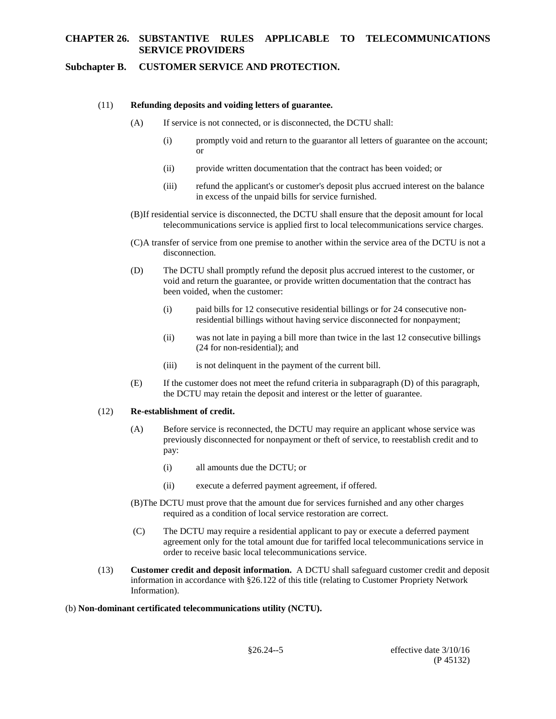### **Subchapter B. CUSTOMER SERVICE AND PROTECTION.**

#### $(11)$ Refunding deposits and voiding letters of guarantee.

- $(A)$ If service is not connected, or is disconnected, the DCTU shall:
	- $(i)$ promptly void and return to the guarantor all letters of guarantee on the account; or
	- $(ii)$ provide written documentation that the contract has been voided; or
	- in excess of the unpaid bills for service furnished.  $(iii)$ refund the applicant's or customer's deposit plus accrued interest on the balance
- (B)If residential service is disconnected, the DCTU shall ensure that the deposit amount for local telecommunications service is applied first to local telecommunications service charges.
- (C)A transfer of service from one premise to another within the service area of the DCTU is not a disconnection.
- void and return the guarantee, or provide written documentation that the contract has (D) The DCTU shall promptly refund the deposit plus accrued interest to the customer, or been voided, when the customer:
	- $(i)$ paid bills for 12 consecutive residential billings or for 24 consecutive nonresidential billings without having service disconnected for nonpayment;
	- $(ii)$ was not late in paying a bill more than twice in the last 12 consecutive billings (24 for non-residential); and
	- $(iii)$ is not delinquent in the payment of the current bill.
- (E) If the customer does not meet the refund criteria in subparagraph (D) of this paragraph,  $(E)$ the DCTU may retain the deposit and interest or the letter of guarantee.

### $(12)$ (12)**Re-establishment of credit.**

- previously disconnected for nonpayment or theft of service, to reestablish credit and to  $(A)$ Before service is reconnected, the DCTU may require an applicant whose service was pay:
	- $(i)$ all amounts due the DCTU; or
	- $(ii)$ execute a deferred payment agreement, if offered.
- (B)The DCTU must prove that the amount due for services furnished and any other charges required as a condition of local service restoration are correct.
- $(C)$ The DCTU may require a residential applicant to pay or execute a deferred payment agreement only for the total amount due for tariffed local telecommunications service in order to receive basic local telecommunications service.
- (13)**Customer credit and deposit information.** A DCTU shall safeguard customer credit and deposit  $(13)$ information in accordance with §26.122 of this title (relating to Customer Propriety Network Information).
- (b) **Non-dominant certificated telecommunications utility (NCTU).**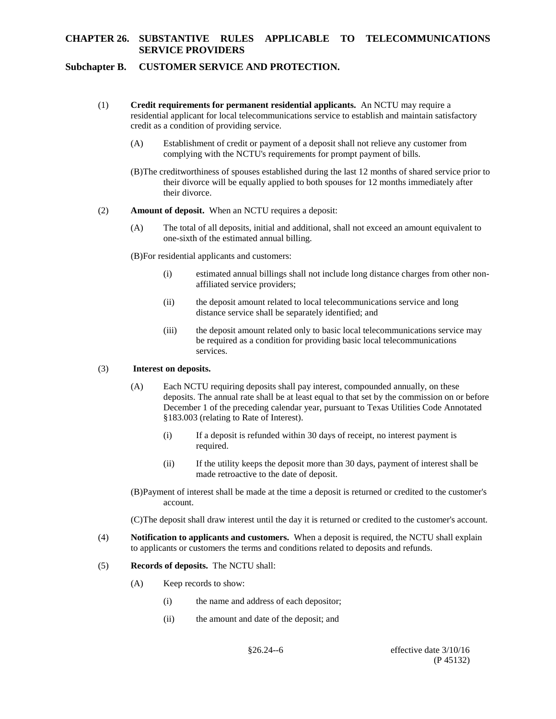## **Subchapter B. CUSTOMER SERVICE AND PROTECTION.**

- (1)**Credit requirements for permanent residential applicants.** An NCTU may require a residential applicant for local telecommunications service to establish and maintain satisfactory credit as a condition of providing service.  $(1)$ 
	- (A)Establishment of credit or payment of a deposit shall not relieve any customer from  $(A)$ complying with the NCTU's requirements for prompt payment of bills.
	- (B)The creditworthiness of spouses established during the last 12 months of shared service prior to their divorce will be equally applied to both spouses for 12 months immediately after their divorce.
- (2)**Amount of deposit.** When an NCTU requires a deposit:  $(2)$ 
	- $(A)$ The total of all deposits, initial and additional, shall not exceed an amount equivalent to one-sixth of the estimated annual billing.
	- (B)For residential applicants and customers:
		- (i) estimated annual billings shall not include long distance charges from other non- $(i)$ affiliated service providers;
		- $(ii)$ the deposit amount related to local telecommunications service and long distance service shall be separately identified; and
		- (iii) the deposit amount related only to basic local telecommunications service may  $(iii)$ be required as a condition for providing basic local telecommunications services.

### (3)**Interest on deposits.**

- December 1 of the preceding calendar year, pursuant to Texas Utilities Code Annotated (A) Each NCTU requiring deposits shall pay interest, compounded annually, on these deposits. The annual rate shall be at least equal to that set by the commission on or before §183.003 (relating to Rate of Interest).
	- (i) If a deposit is refunded within 30 days of receipt, no interest payment is required.  $(i)$
	- required.<br>(ii) If the utility keeps the deposit more than 30 days, payment of interest shall be  $(ii)$ made retroactive to the date of deposit.
- (B)Payment of interest shall be made at the time a deposit is returned or credited to the customer's account.

(C)The deposit shall draw interest until the day it is returned or credited to the customer's account.

- (4)**Notification to applicants and customers.** When a deposit is required, the NCTU shall explain  $(4)$ to applicants or customers the terms and conditions related to deposits and refunds.
- (5)**Records of deposits.** The NCTU shall:  $(5)$ 
	- $(A)$ Keep records to show:
		- $(i)$ the name and address of each depositor;
		- $(ii)$ the amount and date of the deposit; and